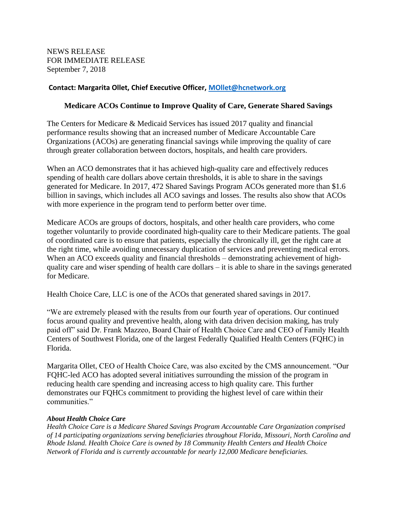NEWS RELEASE FOR IMMEDIATE RELEASE September 7, 2018

## **Contact: Margarita Ollet, Chief Executive Officer, [MOllet@hcnetwork.org](mailto:MOllet@hcnetwork.org)**

## **Medicare ACOs Continue to Improve Quality of Care, Generate Shared Savings**

The Centers for Medicare & Medicaid Services has issued 2017 quality and financial performance results showing that an increased number of Medicare Accountable Care Organizations (ACOs) are generating financial savings while improving the quality of care through greater collaboration between doctors, hospitals, and health care providers.

When an ACO demonstrates that it has achieved high-quality care and effectively reduces spending of health care dollars above certain thresholds, it is able to share in the savings generated for Medicare. In 2017, 472 Shared Savings Program ACOs generated more than \$1.6 billion in savings, which includes all ACO savings and losses. The results also show that ACOs with more experience in the program tend to perform better over time.

Medicare ACOs are groups of doctors, hospitals, and other health care providers, who come together voluntarily to provide coordinated high-quality care to their Medicare patients. The goal of coordinated care is to ensure that patients, especially the chronically ill, get the right care at the right time, while avoiding unnecessary duplication of services and preventing medical errors. When an ACO exceeds quality and financial thresholds – demonstrating achievement of highquality care and wiser spending of health care dollars – it is able to share in the savings generated for Medicare.

Health Choice Care, LLC is one of the ACOs that generated shared savings in 2017.

"We are extremely pleased with the results from our fourth year of operations. Our continued focus around quality and preventive health, along with data driven decision making, has truly paid off" said Dr. Frank Mazzeo, Board Chair of Health Choice Care and CEO of Family Health Centers of Southwest Florida, one of the largest Federally Qualified Health Centers (FQHC) in Florida.

Margarita Ollet, CEO of Health Choice Care, was also excited by the CMS announcement. "Our FQHC-led ACO has adopted several initiatives surrounding the mission of the program in reducing health care spending and increasing access to high quality care. This further demonstrates our FQHCs commitment to providing the highest level of care within their communities."

## *About Health Choice Care*

*Health Choice Care is a Medicare Shared Savings Program Accountable Care Organization comprised of 14 participating organizations serving beneficiaries throughout Florida, Missouri, North Carolina and Rhode Island. Health Choice Care is owned by 18 Community Health Centers and Health Choice Network of Florida and is currently accountable for nearly 12,000 Medicare beneficiaries.*